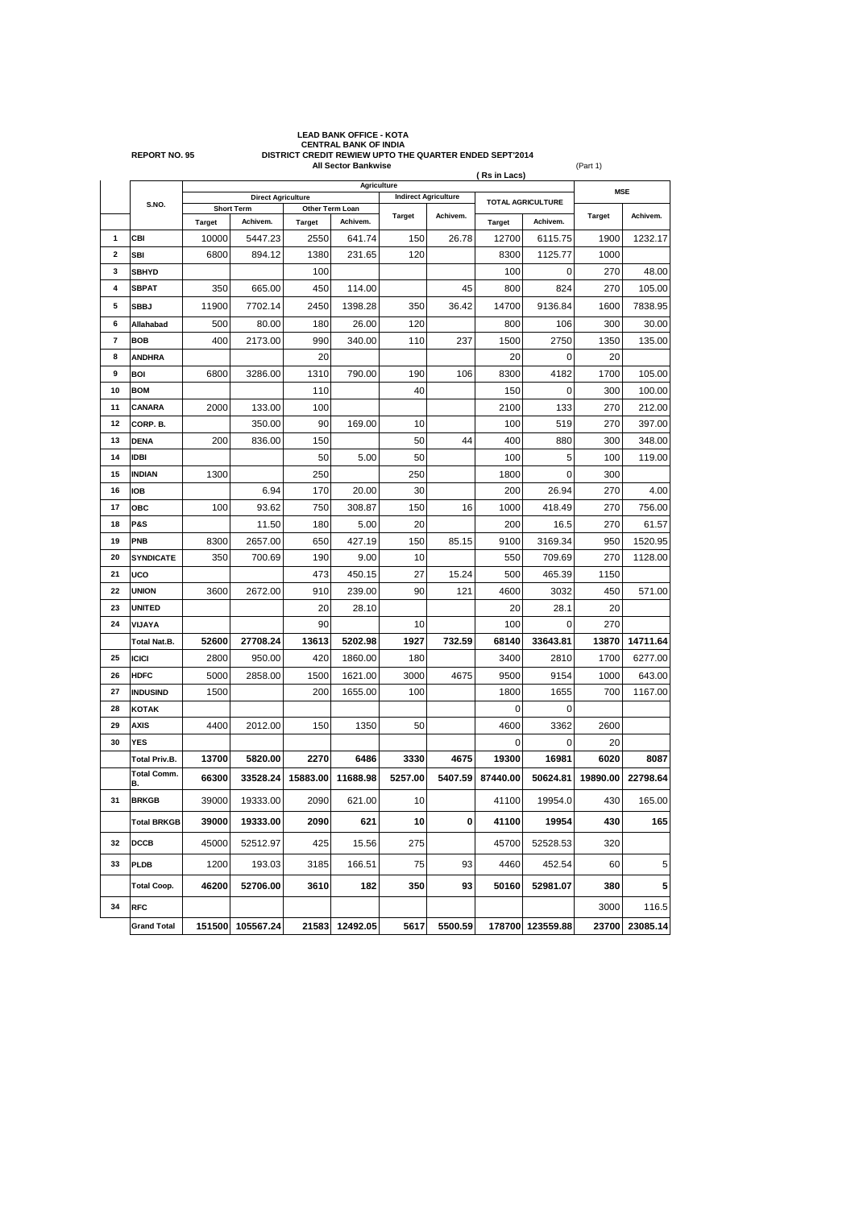|                         | <b>REPORT NO. 95</b>     |                                                                   | <b>CENTRAL BANK OF INDIA</b><br>DISTRICT CREDIT REWIEW UPTO THE QUARTER ENDED SEPT'2014<br><b>All Sector Bankwise</b><br>(Part 1) |               |                             |               |                   |               |                  |               |          |
|-------------------------|--------------------------|-------------------------------------------------------------------|-----------------------------------------------------------------------------------------------------------------------------------|---------------|-----------------------------|---------------|-------------------|---------------|------------------|---------------|----------|
|                         |                          | Agriculture                                                       |                                                                                                                                   |               |                             |               |                   | (Rs in Lacs)  |                  | <b>MSE</b>    |          |
|                         | S.NO.                    | <b>Direct Agriculture</b><br>Other Term Loan<br><b>Short Term</b> |                                                                                                                                   |               | <b>Indirect Agriculture</b> |               | TOTAL AGRICULTURE |               |                  |               |          |
|                         |                          | <b>Target</b>                                                     | Achivem.                                                                                                                          | <b>Target</b> | Achivem.                    | <b>Target</b> | Achivem.          | <b>Target</b> | Achivem.         | <b>Target</b> | Achivem. |
| 1                       | CBI                      | 10000                                                             | 5447.23                                                                                                                           | 2550          | 641.74                      | 150           | 26.78             | 12700         | 6115.75          | 1900          | 1232.17  |
| $\overline{\mathbf{2}}$ | SBI                      | 6800                                                              | 894.12                                                                                                                            | 1380          | 231.65                      | 120           |                   | 8300          | 1125.77          | 1000          |          |
| 3                       | <b>SBHYD</b>             |                                                                   |                                                                                                                                   | 100           |                             |               |                   | 100           | 0                | 270           | 48.00    |
| 4                       | <b>SBPAT</b>             | 350                                                               | 665.00                                                                                                                            | 450           | 114.00                      |               | 45                | 800           | 824              | 270           | 105.00   |
| 5                       | <b>SBBJ</b>              | 11900                                                             | 7702.14                                                                                                                           | 2450          | 1398.28                     | 350           | 36.42             | 14700         | 9136.84          | 1600          | 7838.95  |
| 6                       | Allahabad                | 500                                                               | 80.00                                                                                                                             | 180           | 26.00                       | 120           |                   | 800           | 106              | 300           | 30.00    |
| 7                       | <b>BOB</b>               | 400                                                               | 2173.00                                                                                                                           | 990           | 340.00                      | 110           | 237               | 1500          | 2750             | 1350          | 135.00   |
| 8                       | <b>ANDHRA</b>            |                                                                   |                                                                                                                                   | 20            |                             |               |                   | 20            | 0                | 20            |          |
| 9                       | <b>BOI</b>               | 6800                                                              | 3286.00                                                                                                                           | 1310          | 790.00                      | 190           | 106               | 8300          | 4182             | 1700          | 105.00   |
| 10                      | <b>BOM</b>               |                                                                   |                                                                                                                                   | 110           |                             | 40            |                   | 150           | 0                | 300           | 100.00   |
| 11                      | CANARA                   | 2000                                                              | 133.00                                                                                                                            | 100           |                             |               |                   | 2100          | 133              | 270           | 212.00   |
| 12                      | CORP. B.                 |                                                                   | 350.00                                                                                                                            | 90            | 169.00                      | 10            |                   | 100           | 519              | 270           | 397.00   |
| 13                      | <b>DENA</b>              | 200                                                               | 836.00                                                                                                                            | 150           |                             | 50            | 44                | 400           | 880              | 300           | 348.00   |
| 14                      | <b>IDBI</b>              |                                                                   |                                                                                                                                   | 50            | 5.00                        | 50            |                   | 100           | 5                | 100           | 119.00   |
| 15                      | <b>INDIAN</b>            | 1300                                                              |                                                                                                                                   | 250           |                             | 250           |                   | 1800          | 0                | 300           |          |
| 16                      | <b>IOB</b>               |                                                                   | 6.94                                                                                                                              | 170           | 20.00                       | 30            |                   | 200           | 26.94            | 270           | 4.00     |
| 17                      | ОВС                      | 100                                                               | 93.62                                                                                                                             | 750           | 308.87                      | 150           | 16                | 1000          | 418.49           | 270           | 756.00   |
| 18                      | <b>P&amp;S</b>           |                                                                   | 11.50                                                                                                                             | 180           | 5.00                        | 20            |                   | 200           | 16.5             | 270           | 61.57    |
| 19                      | PNB                      | 8300                                                              | 2657.00                                                                                                                           | 650           | 427.19                      | 150           | 85.15             | 9100          | 3169.34          | 950           | 1520.95  |
| 20                      | <b>SYNDICATE</b>         | 350                                                               | 700.69                                                                                                                            | 190           | 9.00                        | 10            |                   | 550           | 709.69           | 270           | 1128.00  |
| 21                      | UCO                      |                                                                   |                                                                                                                                   | 473           | 450.15                      | 27            | 15.24             | 500           | 465.39           | 1150          |          |
| 22                      | <b>UNION</b>             | 3600                                                              | 2672.00                                                                                                                           | 910           | 239.00                      | 90            | 121               | 4600          | 3032             | 450           | 571.00   |
| 23                      | <b>UNITED</b>            |                                                                   |                                                                                                                                   | 20            | 28.10                       |               |                   | 20            | 28.1             | 20            |          |
| 24                      | VIJAYA                   |                                                                   |                                                                                                                                   | 90            |                             | 10            |                   | 100           | 0                | 270           |          |
|                         | <b>Total Nat.B.</b>      | 52600                                                             | 27708.24                                                                                                                          | 13613         | 5202.98                     | 1927          | 732.59            | 68140         | 33643.81         | 13870         | 14711.64 |
| 25                      | <b>ICICI</b>             | 2800                                                              | 950.00                                                                                                                            | 420           | 1860.00                     | 180           |                   | 3400          | 2810             | 1700          | 6277.00  |
| 26                      | <b>HDFC</b>              | 5000                                                              | 2858.00                                                                                                                           | 1500          | 1621.00                     | 3000          | 4675              | 9500          | 9154             | 1000          | 643.00   |
| 27                      | <b>INDUSIND</b>          | 1500                                                              |                                                                                                                                   | 200           | 1655.00                     | 100           |                   | 1800          | 1655             | 700           | 1167.00  |
| 28                      | <b>KOTAK</b>             |                                                                   |                                                                                                                                   |               |                             |               |                   | 0             | 0                |               |          |
| 29                      | <b>AXIS</b>              | 4400                                                              | 2012.00                                                                                                                           | 150           | 1350                        | 50            |                   | 4600          | 3362             | 2600          |          |
| 30                      | <b>YES</b>               |                                                                   |                                                                                                                                   |               |                             |               |                   | 0             | 0                | 20            |          |
|                         | <b>Total Priv.B.</b>     | 13700                                                             | 5820.00                                                                                                                           | 2270          | 6486                        | 3330          | 4675              | 19300         | 16981            | 6020          | 8087     |
|                         | <b>Total Comm.</b><br>В. | 66300                                                             | 33528.24                                                                                                                          | 15883.00      | 11688.98                    | 5257.00       | 5407.59           | 87440.00      | 50624.81         | 19890.00      | 22798.64 |
| 31                      | <b>BRKGB</b>             | 39000                                                             | 19333.00                                                                                                                          | 2090          | 621.00                      | 10            |                   | 41100         | 19954.0          | 430           | 165.00   |
|                         | <b>Total BRKGB</b>       | 39000                                                             | 19333.00                                                                                                                          | 2090          | 621                         | 10            | 0                 | 41100         | 19954            | 430           | 165      |
| 32                      | <b>DCCB</b>              | 45000                                                             | 52512.97                                                                                                                          | 425           | 15.56                       | 275           |                   | 45700         | 52528.53         | 320           |          |
| 33                      | <b>PLDB</b>              | 1200                                                              | 193.03                                                                                                                            | 3185          | 166.51                      | 75            | 93                | 4460          | 452.54           | 60            | 5        |
|                         | <b>Total Coop.</b>       | 46200                                                             | 52706.00                                                                                                                          | 3610          | 182                         | 350           | 93                | 50160         | 52981.07         | 380           | 5        |
| 34                      | <b>RFC</b>               |                                                                   |                                                                                                                                   |               |                             |               |                   |               |                  | 3000          | 116.5    |
|                         | <b>Grand Total</b>       | 151500                                                            | 105567.24                                                                                                                         | 21583         | 12492.05                    | 5617          | 5500.59           |               | 178700 123559.88 | 23700         | 23085.14 |

**LEAD BANK OFFICE - KOTA**